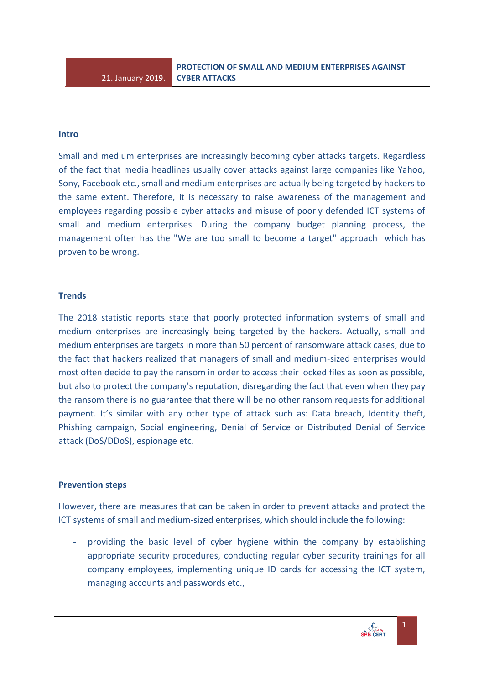## **Intro**

Small and medium enterprises are increasingly becoming cyber attacks targets. Regardless of the fact that media headlines usually cover attacks against large companies like Yahoo, Sony, Facebook etc., small and medium enterprises are actually being targeted by hackers to the same extent. Therefore, it is necessary to raise awareness of the management and employees regarding possible cyber attacks and misuse of poorly defended ICT systems of small and medium enterprises. During the company budget planning process, the management often has the "We are too small to become a target" approach which has proven to be wrong.

## **Trends**

The 2018 statistic reports state that poorly protected information systems of small and medium enterprises are increasingly being targeted by the hackers. Actually, small and medium enterprises are targets in more than 50 percent of ransomware attack cases, due to the fact that hackers realized that managers of small and medium-sized enterprises would most often decide to pay the ransom in order to access their locked files as soon as possible, but also to protect the company's reputation, disregarding the fact that even when they pay the ransom there is no guarantee that there will be no other ransom requests for additional payment. It's similar with any other type of attack such as: Data breach, Identity theft, Phishing campaign, Social engineering, Denial of Service or Distributed Denial of Service attack (DoS/DDoS), espionage etc.

## **Prevention steps**

However, there are measures that can be taken in order to prevent attacks and protect the ICT systems of small and medium-sized enterprises, which should include the following:

providing the basic level of cyber hygiene within the company by establishing appropriate security procedures, conducting regular cyber security trainings for all company employees, implementing unique ID cards for accessing the ICT system, managing accounts and passwords etc.,